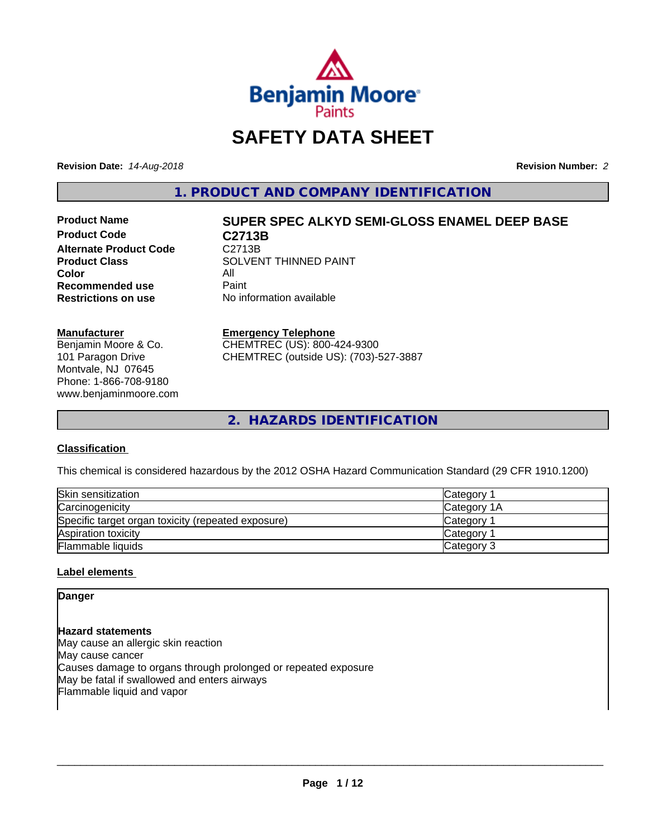

# **SAFETY DATA SHEET**

**Revision Date:** *14-Aug-2018* **Revision Number:** *2*

**1. PRODUCT AND COMPANY IDENTIFICATION**

**Product Code C2713B Alternate Product Code C2713B**<br>Product Class SOLVEN **Color** All<br> **Recommended use** Paint **Recommended use**<br>Restrictions on use

# **Product Name SUPER SPEC ALKYD SEMI-GLOSS ENAMEL DEEP BASE**

**SOLVENT THINNED PAINT No information available** 

#### **Manufacturer**

Benjamin Moore & Co. 101 Paragon Drive Montvale, NJ 07645 Phone: 1-866-708-9180 www.benjaminmoore.com

#### **Emergency Telephone**

CHEMTREC (US): 800-424-9300 CHEMTREC (outside US): (703)-527-3887

**2. HAZARDS IDENTIFICATION**

# **Classification**

This chemical is considered hazardous by the 2012 OSHA Hazard Communication Standard (29 CFR 1910.1200)

| Skin sensitization                                 | Category    |
|----------------------------------------------------|-------------|
| Carcinogenicity                                    | Category 1A |
| Specific target organ toxicity (repeated exposure) | Category    |
| Aspiration toxicity                                | Category    |
| <b>Flammable liquids</b>                           | Category 3  |

# **Label elements**

**Danger**

# **Hazard statements**

May cause an allergic skin reaction May cause cancer Causes damage to organs through prolonged or repeated exposure May be fatal if swallowed and enters airways Flammable liquid and vapor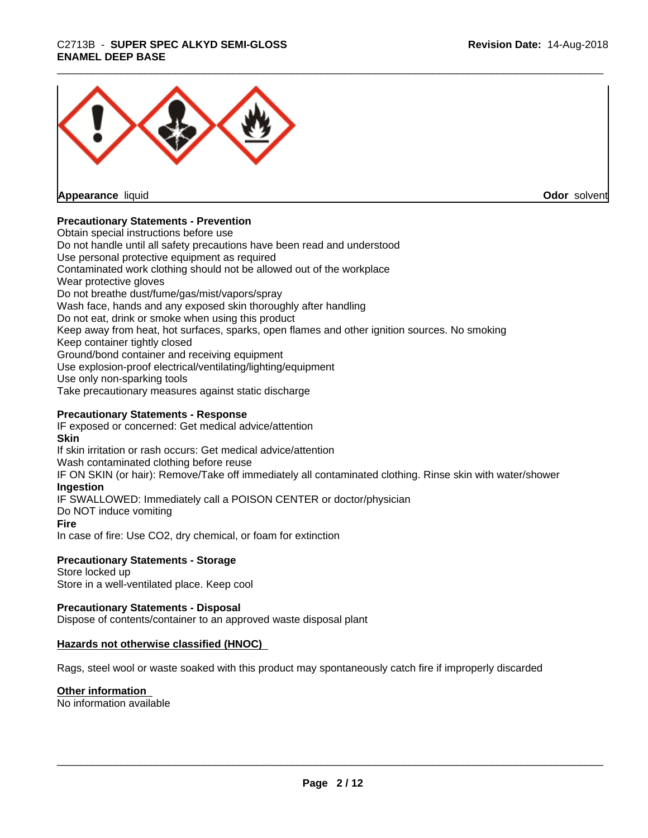# \_\_\_\_\_\_\_\_\_\_\_\_\_\_\_\_\_\_\_\_\_\_\_\_\_\_\_\_\_\_\_\_\_\_\_\_\_\_\_\_\_\_\_\_\_\_\_\_\_\_\_\_\_\_\_\_\_\_\_\_\_\_\_\_\_\_\_\_\_\_\_\_\_\_\_\_\_\_\_\_\_\_\_\_\_\_\_\_\_\_\_\_\_ C2713B - **SUPER SPEC ALKYD SEMI-GLOSS ENAMEL DEEP BASE**



**Appearance** liquid

**Odor** solvent

# **Precautionary Statements - Prevention**

Obtain special instructions before use Do not handle until all safety precautions have been read and understood Use personal protective equipment as required Contaminated work clothing should not be allowed out of the workplace Wear protective gloves Do not breathe dust/fume/gas/mist/vapors/spray Wash face, hands and any exposed skin thoroughly after handling Do not eat, drink or smoke when using this product Keep away from heat, hot surfaces, sparks, open flames and other ignition sources. No smoking Keep container tightly closed Ground/bond container and receiving equipment Use explosion-proof electrical/ventilating/lighting/equipment Use only non-sparking tools Take precautionary measures against static discharge

## **Precautionary Statements - Response**

IF exposed or concerned: Get medical advice/attention **Skin** If skin irritation or rash occurs: Get medical advice/attention Wash contaminated clothing before reuse IF ON SKIN (or hair): Remove/Take off immediately all contaminated clothing. Rinse skin with water/shower **Ingestion** IF SWALLOWED: Immediately call a POISON CENTER or doctor/physician Do NOT induce vomiting **Fire** In case of fire: Use CO2, dry chemical, or foam for extinction

#### **Precautionary Statements - Storage**

Store locked up Store in a well-ventilated place. Keep cool

#### **Precautionary Statements - Disposal**

Dispose of contents/container to an approved waste disposal plant

#### **Hazards not otherwise classified (HNOC)**

Rags, steel wool or waste soaked with this product may spontaneously catch fire if improperly discarded

#### **Other information**

No information available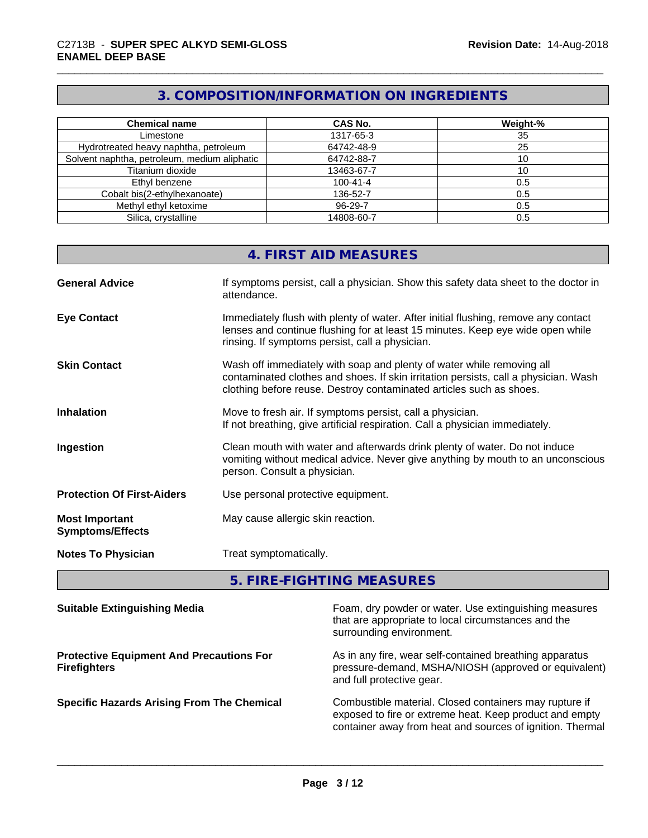# **3. COMPOSITION/INFORMATION ON INGREDIENTS**

| <b>Chemical name</b>                         | <b>CAS No.</b> | Weight-% |
|----------------------------------------------|----------------|----------|
| Limestone                                    | 1317-65-3      | 35       |
| Hydrotreated heavy naphtha, petroleum        | 64742-48-9     | 25       |
| Solvent naphtha, petroleum, medium aliphatic | 64742-88-7     |          |
| Titanium dioxide                             | 13463-67-7     |          |
| Ethyl benzene                                | $100 - 41 - 4$ | 0.5      |
| Cobalt bis(2-ethylhexanoate)                 | 136-52-7       | 0.5      |
| Methyl ethyl ketoxime                        | 96-29-7        | 0.5      |
| Silica, crystalline                          | 14808-60-7     | 0.5      |

# **4. FIRST AID MEASURES**

| <b>General Advice</b>                            | If symptoms persist, call a physician. Show this safety data sheet to the doctor in<br>attendance.                                                                                                                                  |
|--------------------------------------------------|-------------------------------------------------------------------------------------------------------------------------------------------------------------------------------------------------------------------------------------|
| <b>Eye Contact</b>                               | Immediately flush with plenty of water. After initial flushing, remove any contact<br>lenses and continue flushing for at least 15 minutes. Keep eye wide open while<br>rinsing. If symptoms persist, call a physician.             |
| <b>Skin Contact</b>                              | Wash off immediately with soap and plenty of water while removing all<br>contaminated clothes and shoes. If skin irritation persists, call a physician. Wash<br>clothing before reuse. Destroy contaminated articles such as shoes. |
| <b>Inhalation</b>                                | Move to fresh air. If symptoms persist, call a physician.<br>If not breathing, give artificial respiration. Call a physician immediately.                                                                                           |
| Ingestion                                        | Clean mouth with water and afterwards drink plenty of water. Do not induce<br>vomiting without medical advice. Never give anything by mouth to an unconscious<br>person. Consult a physician.                                       |
| <b>Protection Of First-Aiders</b>                | Use personal protective equipment.                                                                                                                                                                                                  |
| <b>Most Important</b><br><b>Symptoms/Effects</b> | May cause allergic skin reaction.                                                                                                                                                                                                   |
| <b>Notes To Physician</b>                        | Treat symptomatically.                                                                                                                                                                                                              |

**5. FIRE-FIGHTING MEASURES**

| <b>Suitable Extinguishing Media</b>                                    | Foam, dry powder or water. Use extinguishing measures<br>that are appropriate to local circumstances and the<br>surrounding environment.                                       |
|------------------------------------------------------------------------|--------------------------------------------------------------------------------------------------------------------------------------------------------------------------------|
| <b>Protective Equipment And Precautions For</b><br><b>Firefighters</b> | As in any fire, wear self-contained breathing apparatus<br>pressure-demand, MSHA/NIOSH (approved or equivalent)<br>and full protective gear.                                   |
| <b>Specific Hazards Arising From The Chemical</b>                      | Combustible material. Closed containers may rupture if<br>exposed to fire or extreme heat. Keep product and empty<br>container away from heat and sources of ignition. Thermal |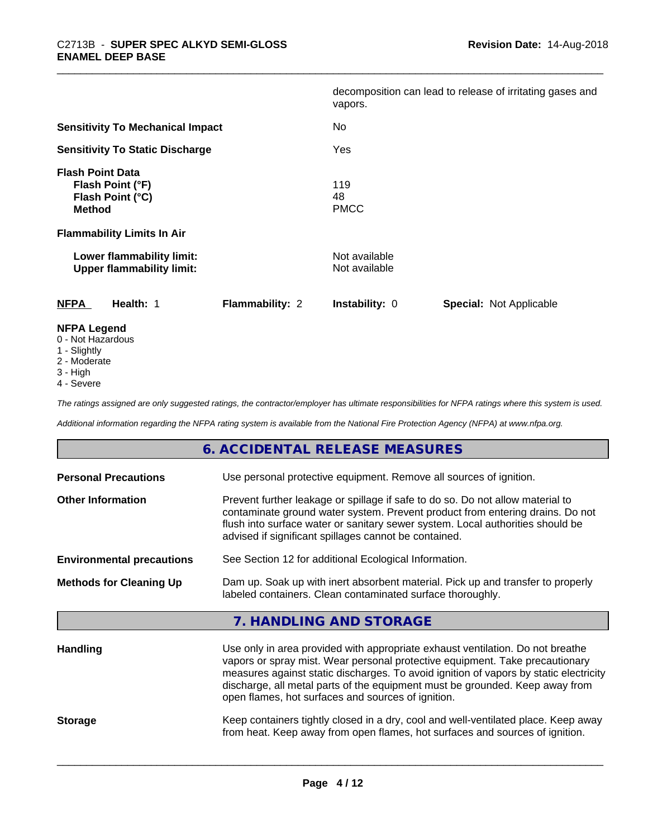|                                                                                  |                 | vapors.                        | decomposition can lead to release of irritating gases and |
|----------------------------------------------------------------------------------|-----------------|--------------------------------|-----------------------------------------------------------|
| <b>Sensitivity To Mechanical Impact</b>                                          |                 | No                             |                                                           |
| <b>Sensitivity To Static Discharge</b>                                           |                 | Yes                            |                                                           |
| <b>Flash Point Data</b><br>Flash Point (°F)<br>Flash Point (°C)<br><b>Method</b> |                 | 119<br>48<br><b>PMCC</b>       |                                                           |
| <b>Flammability Limits In Air</b>                                                |                 |                                |                                                           |
| Lower flammability limit:<br><b>Upper flammability limit:</b>                    |                 | Not available<br>Not available |                                                           |
| <b>NFPA</b><br>Health: 1                                                         | Flammability: 2 | <b>Instability: 0</b>          | <b>Special: Not Applicable</b>                            |
| <b>NFPA Legend</b><br>0 - Not Hazardous                                          |                 |                                |                                                           |

- 1 Slightly
- 2 Moderate
- 
- 3 High
- 4 Severe

*The ratings assigned are only suggested ratings, the contractor/employer has ultimate responsibilities for NFPA ratings where this system is used.*

*Additional information regarding the NFPA rating system is available from the National Fire Protection Agency (NFPA) at www.nfpa.org.*

|                                  | 6. ACCIDENTAL RELEASE MEASURES                                                                                                                                                                                                                                                                                                                                                                |
|----------------------------------|-----------------------------------------------------------------------------------------------------------------------------------------------------------------------------------------------------------------------------------------------------------------------------------------------------------------------------------------------------------------------------------------------|
| <b>Personal Precautions</b>      | Use personal protective equipment. Remove all sources of ignition.                                                                                                                                                                                                                                                                                                                            |
| <b>Other Information</b>         | Prevent further leakage or spillage if safe to do so. Do not allow material to<br>contaminate ground water system. Prevent product from entering drains. Do not<br>flush into surface water or sanitary sewer system. Local authorities should be<br>advised if significant spillages cannot be contained.                                                                                    |
| <b>Environmental precautions</b> | See Section 12 for additional Ecological Information.                                                                                                                                                                                                                                                                                                                                         |
| <b>Methods for Cleaning Up</b>   | Dam up. Soak up with inert absorbent material. Pick up and transfer to properly<br>labeled containers. Clean contaminated surface thoroughly.                                                                                                                                                                                                                                                 |
|                                  | 7. HANDLING AND STORAGE                                                                                                                                                                                                                                                                                                                                                                       |
| <b>Handling</b>                  | Use only in area provided with appropriate exhaust ventilation. Do not breathe<br>vapors or spray mist. Wear personal protective equipment. Take precautionary<br>measures against static discharges. To avoid ignition of vapors by static electricity<br>discharge, all metal parts of the equipment must be grounded. Keep away from<br>open flames, hot surfaces and sources of ignition. |
| <b>Storage</b>                   | Keep containers tightly closed in a dry, cool and well-ventilated place. Keep away<br>from heat. Keep away from open flames, hot surfaces and sources of ignition.                                                                                                                                                                                                                            |
|                                  |                                                                                                                                                                                                                                                                                                                                                                                               |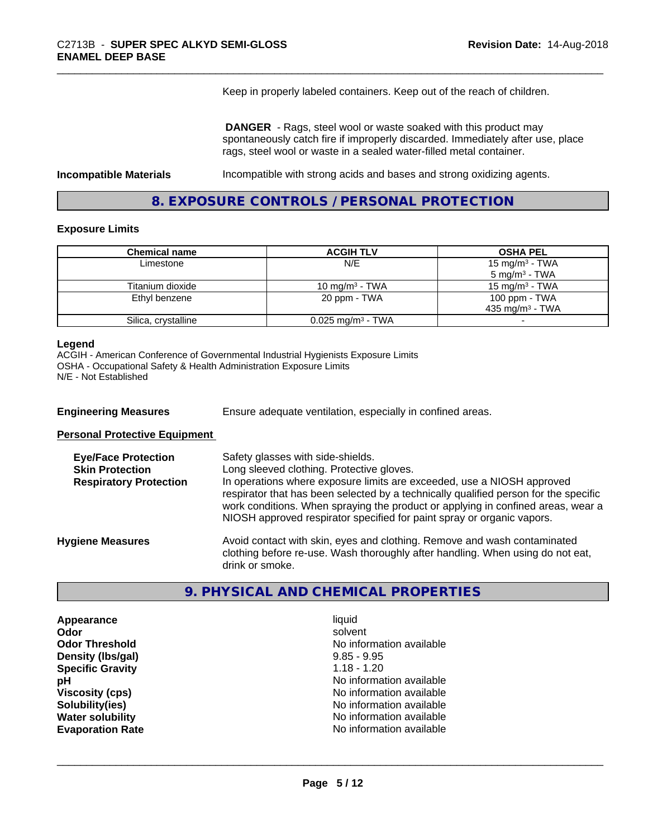Keep in properly labeled containers. Keep out of the reach of children.

 **DANGER** - Rags, steel wool or waste soaked with this product may spontaneously catch fire if improperly discarded. Immediately after use, place rags, steel wool or waste in a sealed water-filled metal container.

**Incompatible Materials Incompatible with strong acids and bases and strong oxidizing agents.** 

**8. EXPOSURE CONTROLS / PERSONAL PROTECTION**

#### **Exposure Limits**

| <b>Chemical name</b> | <b>ACGIH TLV</b>                | <b>OSHA PEL</b>          |
|----------------------|---------------------------------|--------------------------|
| Limestone            | N/E                             | 15 mg/m $3$ - TWA        |
|                      |                                 | $5 \text{ ma/m}^3$ - TWA |
| Titanium dioxide     | 10 mg/m $3$ - TWA               | 15 mg/m $3$ - TWA        |
| Ethyl benzene        | 20 ppm - TWA                    | 100 ppm - TWA            |
|                      |                                 | 435 mg/m $3$ - TWA       |
| Silica, crystalline  | $0.025$ mg/m <sup>3</sup> - TWA |                          |

#### **Legend**

ACGIH - American Conference of Governmental Industrial Hygienists Exposure Limits OSHA - Occupational Safety & Health Administration Exposure Limits N/E - Not Established

| <b>Engineering Measures</b> | Ensure adequate ventilation, especially in confined areas. |  |
|-----------------------------|------------------------------------------------------------|--|
|-----------------------------|------------------------------------------------------------|--|

**Personal Protective Equipment**

| <b>Eye/Face Protection</b><br><b>Skin Protection</b><br><b>Respiratory Protection</b> | Safety glasses with side-shields.<br>Long sleeved clothing. Protective gloves.<br>In operations where exposure limits are exceeded, use a NIOSH approved<br>respirator that has been selected by a technically qualified person for the specific<br>work conditions. When spraying the product or applying in confined areas, wear a<br>NIOSH approved respirator specified for paint spray or organic vapors. |
|---------------------------------------------------------------------------------------|----------------------------------------------------------------------------------------------------------------------------------------------------------------------------------------------------------------------------------------------------------------------------------------------------------------------------------------------------------------------------------------------------------------|
| <b>Hygiene Measures</b>                                                               | Avoid contact with skin, eyes and clothing. Remove and wash contaminated<br>clothing before re-use. Wash thoroughly after handling. When using do not eat,<br>drink or smoke.                                                                                                                                                                                                                                  |

# **9. PHYSICAL AND CHEMICAL PROPERTIES**

**Appearance** liquid **Odor** solvent **Density (Ibs/gal)** 9.85 - 9.95<br> **Specific Gravity** 1.18 - 1.20 **Specific Gravity** 

**Odor Threshold** No information available **pH** No information available **Viscosity (cps)** No information available<br> **Solubility (ies)** No information available<br>
No information available **Solubility(ies)** No information available **Water solubility Water solubility Water solubility Water solubility Water solubility Water solution Evaporation Rate No information available No information available**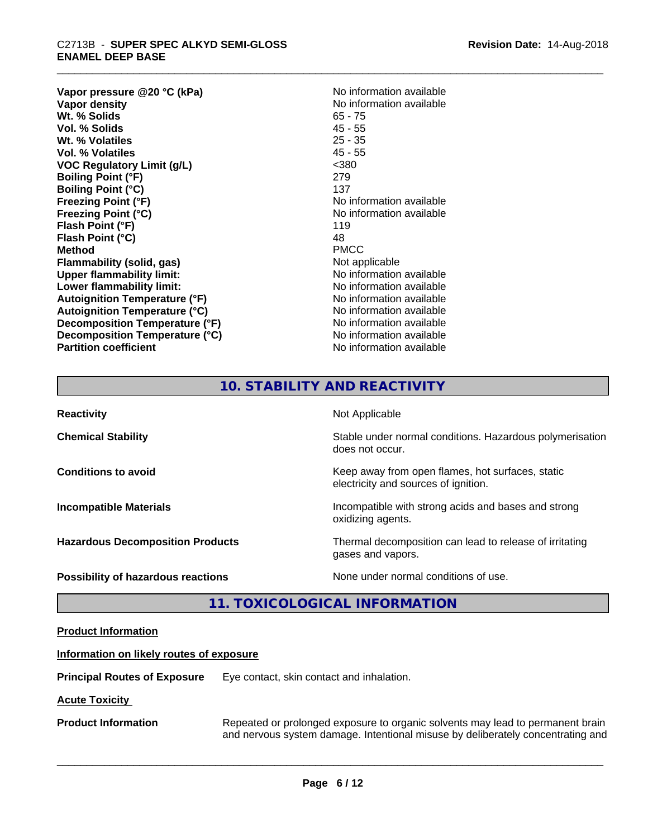# \_\_\_\_\_\_\_\_\_\_\_\_\_\_\_\_\_\_\_\_\_\_\_\_\_\_\_\_\_\_\_\_\_\_\_\_\_\_\_\_\_\_\_\_\_\_\_\_\_\_\_\_\_\_\_\_\_\_\_\_\_\_\_\_\_\_\_\_\_\_\_\_\_\_\_\_\_\_\_\_\_\_\_\_\_\_\_\_\_\_\_\_\_ C2713B - **SUPER SPEC ALKYD SEMI-GLOSS ENAMEL DEEP BASE**

**Vapor pressure @20 °C (kPa)**<br> **Vapor density**<br> **Vapor density**<br> **Vapor density Wt. % Solids** 65 - 75<br> **Vol. % Solids** 65 - 75 **Vol. % Solids** 45 - 55<br> **Wt. % Volatiles** 25 - 35 **Wt. % Volatiles Vol. % Volatiles** 45 - 55 **VOC Regulatory Limit (g/L)** <380 **Boiling Point (°F)** 279 **Boiling Point**  $(°C)$  137 **Freezing Point (°F)** No information available **Freezing Point (°C)** No information available **Flash Point (°F)** 119 **Flash Point (°C)** 48<br> **Method** PMCC **Method** PMCC **Flammability (solid, gas)** Not applicable **Upper flammability limit:**<br> **Lower flammability limit:** No information available **Lower flammability limit: Autoignition Temperature (°F)** No information available **Autoignition Temperature (°C)**<br> **Decomposition Temperature (°F)** No information available **Decomposition Temperature (°F) Decomposition Temperature (°C)** No information available **Partition coefficient CONSTRANSISTS No information available** 

**No information available**<br>65 - 75

# **10. STABILITY AND REACTIVITY**

| <b>Reactivity</b>                         | Not Applicable                                                                           |
|-------------------------------------------|------------------------------------------------------------------------------------------|
| <b>Chemical Stability</b>                 | Stable under normal conditions. Hazardous polymerisation<br>does not occur.              |
| <b>Conditions to avoid</b>                | Keep away from open flames, hot surfaces, static<br>electricity and sources of ignition. |
| <b>Incompatible Materials</b>             | Incompatible with strong acids and bases and strong<br>oxidizing agents.                 |
| <b>Hazardous Decomposition Products</b>   | Thermal decomposition can lead to release of irritating<br>gases and vapors.             |
| <b>Possibility of hazardous reactions</b> | None under normal conditions of use.                                                     |

# **11. TOXICOLOGICAL INFORMATION**

| <b>Product Information</b>               |                                                                                                                                                                   |  |
|------------------------------------------|-------------------------------------------------------------------------------------------------------------------------------------------------------------------|--|
| Information on likely routes of exposure |                                                                                                                                                                   |  |
| <b>Principal Routes of Exposure</b>      | Eye contact, skin contact and inhalation.                                                                                                                         |  |
| <b>Acute Toxicity</b>                    |                                                                                                                                                                   |  |
| <b>Product Information</b>               | Repeated or prolonged exposure to organic solvents may lead to permanent brain<br>and nervous system damage. Intentional misuse by deliberately concentrating and |  |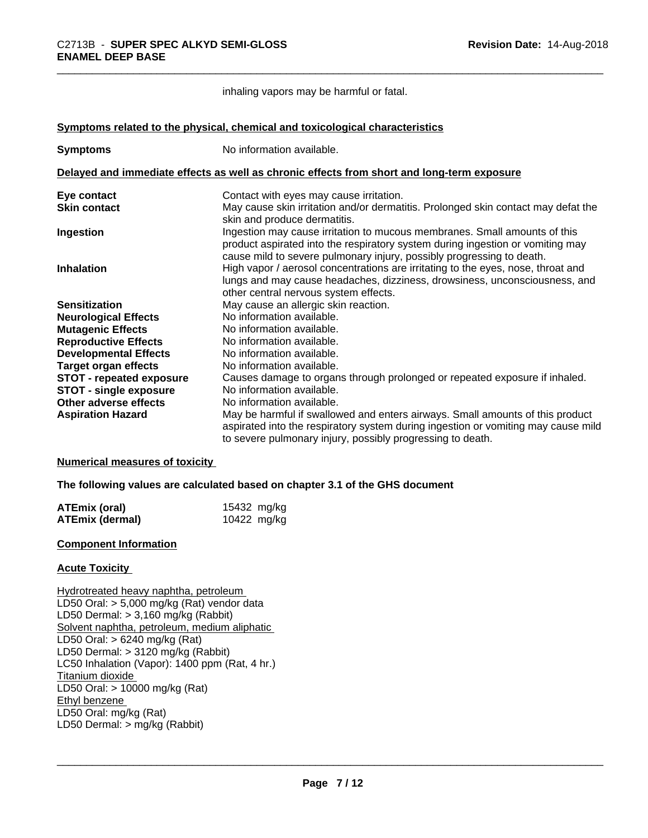inhaling vapors may be harmful or fatal.

**<u>Symptoms related to the physical, chemical and toxicological characteristics</u>** 

| <b>Symptoms</b>                 | No information available.                                                                                                                                                                                                            |
|---------------------------------|--------------------------------------------------------------------------------------------------------------------------------------------------------------------------------------------------------------------------------------|
|                                 | Delayed and immediate effects as well as chronic effects from short and long-term exposure                                                                                                                                           |
| Eye contact                     | Contact with eyes may cause irritation.                                                                                                                                                                                              |
| <b>Skin contact</b>             | May cause skin irritation and/or dermatitis. Prolonged skin contact may defat the<br>skin and produce dermatitis.                                                                                                                    |
| Ingestion                       | Ingestion may cause irritation to mucous membranes. Small amounts of this<br>product aspirated into the respiratory system during ingestion or vomiting may<br>cause mild to severe pulmonary injury, possibly progressing to death. |
| <b>Inhalation</b>               | High vapor / aerosol concentrations are irritating to the eyes, nose, throat and<br>lungs and may cause headaches, dizziness, drowsiness, unconsciousness, and<br>other central nervous system effects.                              |
| <b>Sensitization</b>            | May cause an allergic skin reaction.                                                                                                                                                                                                 |
| <b>Neurological Effects</b>     | No information available.                                                                                                                                                                                                            |
| <b>Mutagenic Effects</b>        | No information available.                                                                                                                                                                                                            |
| <b>Reproductive Effects</b>     | No information available.                                                                                                                                                                                                            |
| <b>Developmental Effects</b>    | No information available.                                                                                                                                                                                                            |
| <b>Target organ effects</b>     | No information available.                                                                                                                                                                                                            |
| <b>STOT - repeated exposure</b> | Causes damage to organs through prolonged or repeated exposure if inhaled.                                                                                                                                                           |
| <b>STOT - single exposure</b>   | No information available.                                                                                                                                                                                                            |
| Other adverse effects           | No information available.                                                                                                                                                                                                            |
| <b>Aspiration Hazard</b>        | May be harmful if swallowed and enters airways. Small amounts of this product<br>aspirated into the respiratory system during ingestion or vomiting may cause mild<br>to severe pulmonary injury, possibly progressing to death.     |

#### **Numerical measures of toxicity**

**The following values are calculated based on chapter 3.1 of the GHS document**

| ATEmix (oral)          | 15432 mg/kg |
|------------------------|-------------|
| <b>ATEmix (dermal)</b> | 10422 mg/kg |

# **Component Information**

#### **Acute Toxicity**

Hydrotreated heavy naphtha, petroleum LD50 Oral: > 5,000 mg/kg (Rat) vendor data LD50 Dermal: > 3,160 mg/kg (Rabbit) Solvent naphtha, petroleum, medium aliphatic LD50 Oral: > 6240 mg/kg (Rat) LD50 Dermal: > 3120 mg/kg (Rabbit) LC50 Inhalation (Vapor): 1400 ppm (Rat, 4 hr.) Titanium dioxide LD50 Oral: > 10000 mg/kg (Rat) Ethyl benzene LD50 Oral: mg/kg (Rat) LD50 Dermal: > mg/kg (Rabbit)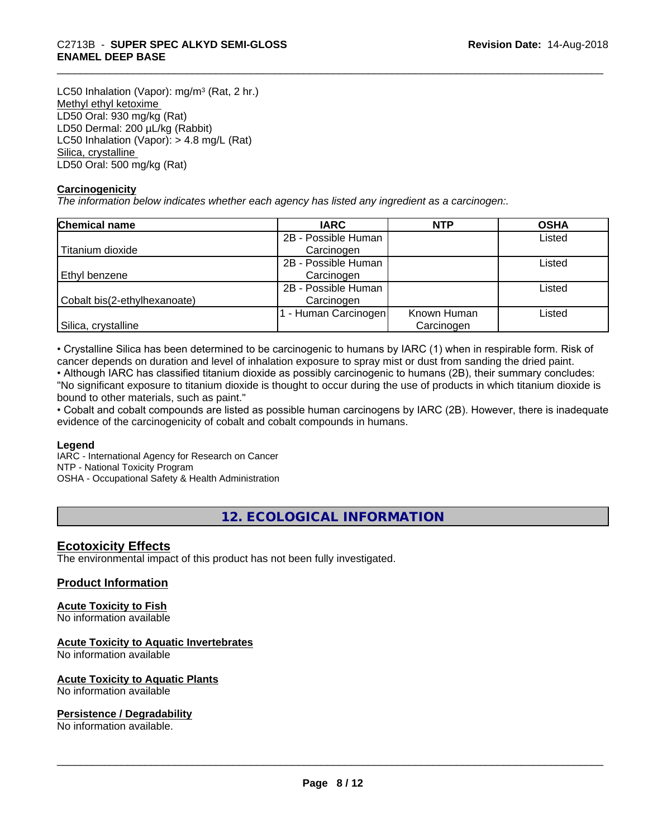# \_\_\_\_\_\_\_\_\_\_\_\_\_\_\_\_\_\_\_\_\_\_\_\_\_\_\_\_\_\_\_\_\_\_\_\_\_\_\_\_\_\_\_\_\_\_\_\_\_\_\_\_\_\_\_\_\_\_\_\_\_\_\_\_\_\_\_\_\_\_\_\_\_\_\_\_\_\_\_\_\_\_\_\_\_\_\_\_\_\_\_\_\_ C2713B - **SUPER SPEC ALKYD SEMI-GLOSS ENAMEL DEEP BASE**

LC50 Inhalation (Vapor): mg/m<sup>3</sup> (Rat, 2 hr.) Methyl ethyl ketoxime LD50 Oral: 930 mg/kg (Rat) LD50 Dermal: 200 µL/kg (Rabbit) LC50 Inhalation (Vapor): > 4.8 mg/L (Rat) Silica, crystalline LD50 Oral: 500 mg/kg (Rat)

# **Carcinogenicity**

*The information below indicateswhether each agency has listed any ingredient as a carcinogen:.*

| Chemical name                | <b>IARC</b>         | <b>NTP</b>  | <b>OSHA</b> |
|------------------------------|---------------------|-------------|-------------|
|                              | 2B - Possible Human |             | Listed      |
| Titanium dioxide             | Carcinogen          |             |             |
|                              | 2B - Possible Human |             | Listed      |
| Ethyl benzene                | Carcinogen          |             |             |
|                              | 2B - Possible Human |             | Listed      |
| Cobalt bis(2-ethylhexanoate) | Carcinogen          |             |             |
|                              | - Human Carcinogen  | Known Human | Listed      |
| Silica, crystalline          |                     | Carcinogen  |             |

• Crystalline Silica has been determined to be carcinogenic to humans by IARC (1) when in respirable form. Risk of cancer depends on duration and level of inhalation exposure to spray mist or dust from sanding the dried paint.

• Although IARC has classified titanium dioxide as possibly carcinogenic to humans (2B), their summary concludes: "No significant exposure to titanium dioxide is thought to occur during the use of products in which titanium dioxide is bound to other materials, such as paint."

• Cobalt and cobalt compounds are listed as possible human carcinogens by IARC (2B). However, there is inadequate evidence of the carcinogenicity of cobalt and cobalt compounds in humans.

# **Legend**

IARC - International Agency for Research on Cancer NTP - National Toxicity Program OSHA - Occupational Safety & Health Administration

# **12. ECOLOGICAL INFORMATION**

# **Ecotoxicity Effects**

The environmental impact of this product has not been fully investigated.

# **Product Information**

# **Acute Toxicity to Fish**

No information available

#### **Acute Toxicity to Aquatic Invertebrates**

No information available

# **Acute Toxicity to Aquatic Plants**

No information available

#### **Persistence / Degradability**

No information available.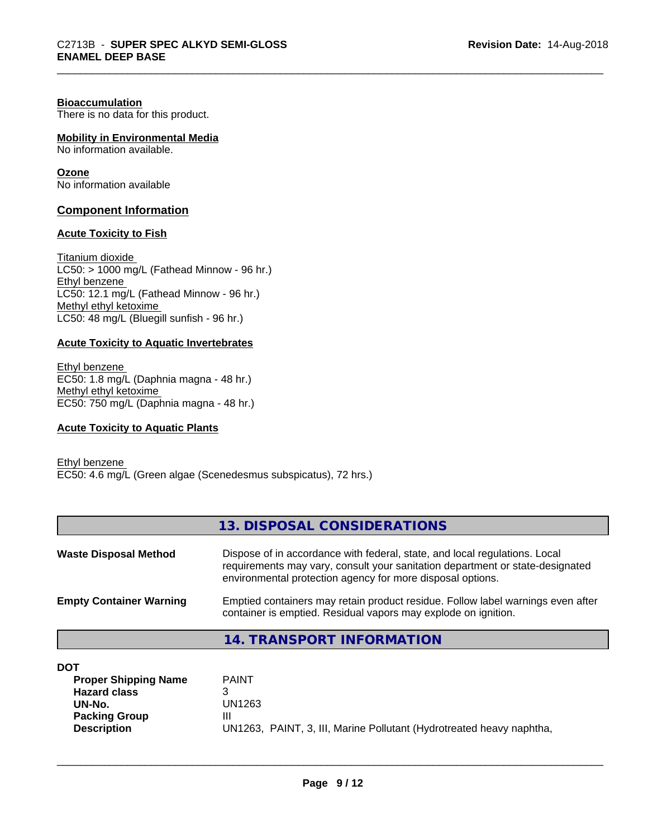#### **Bioaccumulation**

There is no data for this product.

## **Mobility in Environmental Media**

No information available.

#### **Ozone**

No information available

### **Component Information**

## **Acute Toxicity to Fish**

Titanium dioxide  $LCS0:$  > 1000 mg/L (Fathead Minnow - 96 hr.) Ethyl benzene LC50: 12.1 mg/L (Fathead Minnow - 96 hr.) Methyl ethyl ketoxime LC50: 48 mg/L (Bluegill sunfish - 96 hr.)

### **Acute Toxicity to Aquatic Invertebrates**

Ethyl benzene EC50: 1.8 mg/L (Daphnia magna - 48 hr.) Methyl ethyl ketoxime EC50: 750 mg/L (Daphnia magna - 48 hr.)

#### **Acute Toxicity to Aquatic Plants**

Ethyl benzene EC50: 4.6 mg/L (Green algae (Scenedesmus subspicatus), 72 hrs.)

### **13. DISPOSAL CONSIDERATIONS**

| <b>Waste Disposal Method</b>   | Dispose of in accordance with federal, state, and local regulations. Local<br>requirements may vary, consult your sanitation department or state-designated<br>environmental protection agency for more disposal options. |
|--------------------------------|---------------------------------------------------------------------------------------------------------------------------------------------------------------------------------------------------------------------------|
| <b>Empty Container Warning</b> | Emptied containers may retain product residue. Follow label warnings even after<br>container is emptied. Residual vapors may explode on ignition.                                                                         |

**14. TRANSPORT INFORMATION**

| DOT                         |                                                                      |
|-----------------------------|----------------------------------------------------------------------|
| <b>Proper Shipping Name</b> | <b>PAINT</b>                                                         |
| <b>Hazard class</b>         | ว                                                                    |
| UN-No.                      | UN1263                                                               |
| <b>Packing Group</b>        | Ш                                                                    |
| <b>Description</b>          | UN1263, PAINT, 3, III, Marine Pollutant (Hydrotreated heavy naphtha, |
|                             |                                                                      |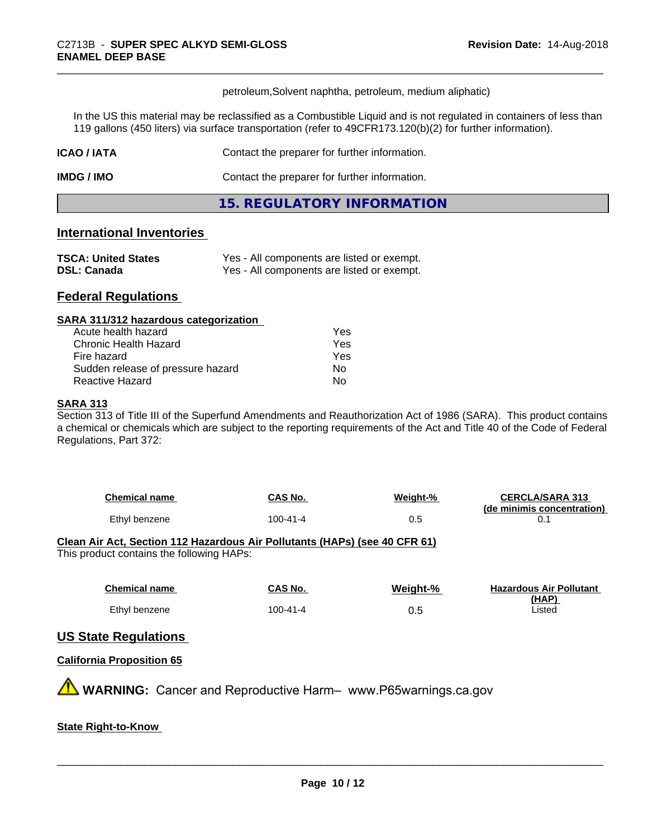petroleum,Solvent naphtha, petroleum, medium aliphatic)

In the US this material may be reclassified as a Combustible Liquid and is not regulated in containers of less than 119 gallons (450 liters) via surface transportation (refer to 49CFR173.120(b)(2) for further information).

| <b>ICAO/IATA</b> | Contact the preparer for further information. |  |
|------------------|-----------------------------------------------|--|
| IMDG / IMO       | Contact the preparer for further information. |  |
|                  | 15. REGULATORY INFORMATION                    |  |

# **International Inventories**

| <b>TSCA: United States</b> | Yes - All components are listed or exempt. |
|----------------------------|--------------------------------------------|
| <b>DSL: Canada</b>         | Yes - All components are listed or exempt. |

# **Federal Regulations**

#### **SARA 311/312 hazardous categorization**

| Acute health hazard               | Yes |
|-----------------------------------|-----|
| Chronic Health Hazard             | Yes |
| Fire hazard                       | Yes |
| Sudden release of pressure hazard | Nο  |
| Reactive Hazard                   | N٥  |

#### **SARA 313**

Section 313 of Title III of the Superfund Amendments and Reauthorization Act of 1986 (SARA). This product contains a chemical or chemicals which are subject to the reporting requirements of the Act and Title 40 of the Code of Federal Regulations, Part 372:

| <b>Chemical name</b> | CAS No.  | Weight-% | <b>CERCLA/SARA 313</b><br>(de minimis concentration) |
|----------------------|----------|----------|------------------------------------------------------|
| Ethyl benzene        | 100-41-4 | 0.5      |                                                      |

# **Clean Air Act,Section 112 Hazardous Air Pollutants (HAPs) (see 40 CFR 61)**

This product contains the following HAPs:

| <b>Chemical name</b> | CAS No.  | Weight-% | <b>Hazardous Air Pollutant</b> |
|----------------------|----------|----------|--------------------------------|
|                      |          |          | (HAP)                          |
| Ethyl benzene        | 100-41-4 | 0.5      | Listed                         |

# **US State Regulations**

#### **California Proposition 65**

**A** WARNING: Cancer and Reproductive Harm– www.P65warnings.ca.gov

# **State Right-to-Know**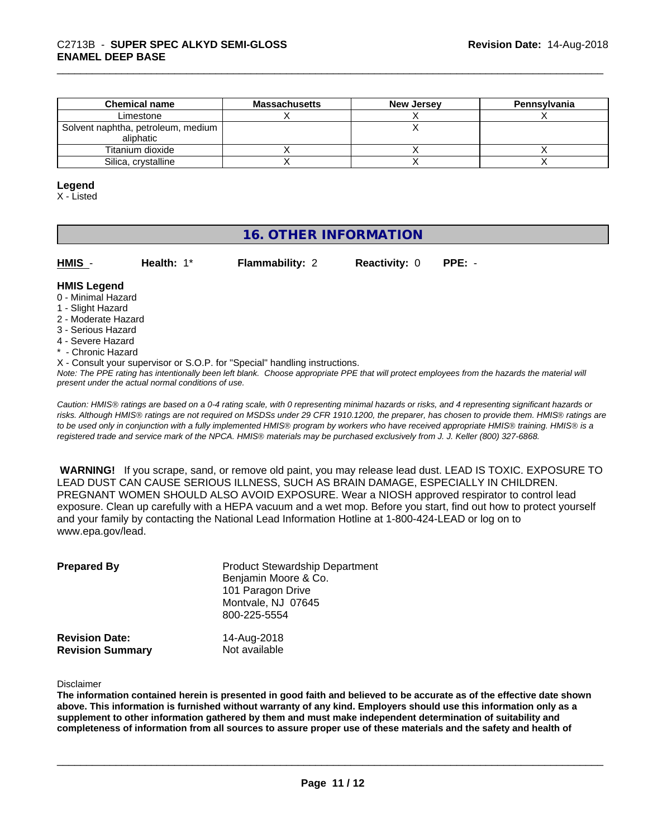| <b>Chemical name</b>               | <b>Massachusetts</b> | <b>New Jersey</b> | Pennsylvania |
|------------------------------------|----------------------|-------------------|--------------|
| Limestone                          |                      |                   |              |
| Solvent naphtha, petroleum, medium |                      |                   |              |
| aliphatic                          |                      |                   |              |
| Titanium dioxide                   |                      |                   |              |
| Silica, crystalline                |                      |                   |              |

#### **Legend**

X - Listed

# **16. OTHER INFORMATION**

| н<br>. . |  |  |
|----------|--|--|
| N        |  |  |

**Health:** 1\* **Flammability:** 2 **Reactivity:** 0 **PPE:** -

# **HMIS Legend**

- 0 Minimal Hazard
- 1 Slight Hazard
- 2 Moderate Hazard
- 3 Serious Hazard
- 4 Severe Hazard
- \* Chronic Hazard
- X Consult your supervisor or S.O.P. for "Special" handling instructions.

*Note: The PPE rating has intentionally been left blank. Choose appropriate PPE that will protect employees from the hazards the material will present under the actual normal conditions of use.*

*Caution: HMISÒ ratings are based on a 0-4 rating scale, with 0 representing minimal hazards or risks, and 4 representing significant hazards or risks. Although HMISÒ ratings are not required on MSDSs under 29 CFR 1910.1200, the preparer, has chosen to provide them. HMISÒ ratings are to be used only in conjunction with a fully implemented HMISÒ program by workers who have received appropriate HMISÒ training. HMISÒ is a registered trade and service mark of the NPCA. HMISÒ materials may be purchased exclusively from J. J. Keller (800) 327-6868.*

 **WARNING!** If you scrape, sand, or remove old paint, you may release lead dust. LEAD IS TOXIC. EXPOSURE TO LEAD DUST CAN CAUSE SERIOUS ILLNESS, SUCH AS BRAIN DAMAGE, ESPECIALLY IN CHILDREN. PREGNANT WOMEN SHOULD ALSO AVOID EXPOSURE.Wear a NIOSH approved respirator to control lead exposure. Clean up carefully with a HEPA vacuum and a wet mop. Before you start, find out how to protect yourself and your family by contacting the National Lead Information Hotline at 1-800-424-LEAD or log on to www.epa.gov/lead.

| <b>Prepared By</b>                               | <b>Product Stewardship Department</b><br>Benjamin Moore & Co.<br>101 Paragon Drive<br>Montvale, NJ 07645<br>800-225-5554 |  |
|--------------------------------------------------|--------------------------------------------------------------------------------------------------------------------------|--|
| <b>Revision Date:</b><br><b>Revision Summary</b> | 14-Aug-2018<br>Not available                                                                                             |  |

Disclaimer

The information contained herein is presented in good faith and believed to be accurate as of the effective date shown above. This information is furnished without warranty of any kind. Employers should use this information only as a **supplement to other information gathered by them and must make independent determination of suitability and** completeness of information from all sources to assure proper use of these materials and the safety and health of